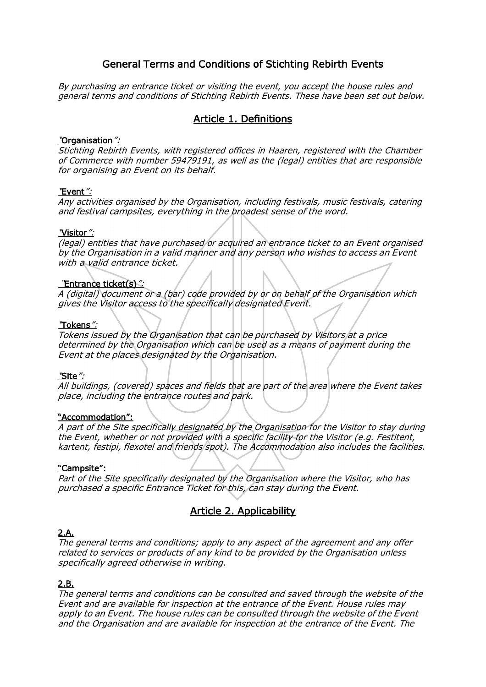# General Terms and Conditions of Stichting Rebirth Events

By purchasing an entrance ticket or visiting the event, you accept the house rules and general terms and conditions of Stichting Rebirth Events. These have been set out below.

# Article 1. Definitions

#### "Organisation":

Stichting Rebirth Events, with registered offices in Haaren, registered with the Chamber of Commerce with number 59479191, as well as the (legal) entities that are responsible for organising an Event on its behalf.

#### "Event":

Any activities organised by the Organisation, including festivals, music festivals, catering and festival campsites, everything in the broadest sense of the word.

#### "Visitor":

(legal) entities that have purchased or acquired an entrance ticket to an Event organised by the Organisation in a valid manner and any person who wishes to access an Event with a valid entrance ticket.

#### "Entrance ticket(s)":

A (digital) document or a (bar) code provided by or on behalf of the Organisation which gives the Visitor access to the specifically designated Event.

#### "Tokens":

Tokens issued by the Organisation that can be purchased by Visitors at a price determined by the Organisation which can be used as a means of payment during the Event at the places designated by the Organisation.

#### "Site":

All buildings, (covered) spaces and fields that are part of the area where the Event takes place, including the entrance routes and park.

#### "Accommodation":

A part of the Site specifically designated by the Organisation for the Visitor to stay during the Event, whether or not provided with a specific facility for the Visitor (e.g. Festitent, kartent, festipi, flexotel and friends spot). The Accommodation also includes the facilities.

#### "Campsite":

Part of the Site specifically designated by the Organisation where the Visitor, who has purchased a specific Entrance Ticket for this, can stay during the Event.

# Article 2. Applicability

#### 2.A.

The general terms and conditions; apply to any aspect of the agreement and any offer related to services or products of any kind to be provided by the Organisation unless specifically agreed otherwise in writing.

#### 2.B.

The general terms and conditions can be consulted and saved through the website of the Event and are available for inspection at the entrance of the Event. House rules may apply to an Event. The house rules can be consulted through the website of the Event and the Organisation and are available for inspection at the entrance of the Event. The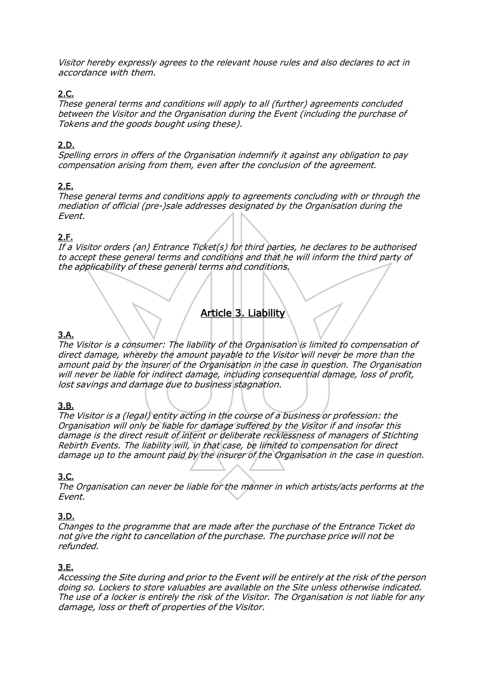Visitor hereby expressly agrees to the relevant house rules and also declares to act in accordance with them.

## 2.C.

These general terms and conditions will apply to all (further) agreements concluded between the Visitor and the Organisation during the Event (including the purchase of Tokens and the goods bought using these).

## 2.D.

Spelling errors in offers of the Organisation indemnify it against any obligation to pay compensation arising from them, even after the conclusion of the agreement.

# 2.E.

These general terms and conditions apply to agreements concluding with or through the mediation of official (pre-)sale addresses designated by the Organisation during the Event.

# 2.F.

If a Visitor orders (an) Entrance Ticket(s) for third parties, he declares to be authorised to accept these general terms and conditions and that he will inform the third party of the applicability of these general terms and conditions.

# Article 3. Liability

# 3.A.

The Visitor is a consumer: The liability of the Organisation is limited to compensation of direct damage, whereby the amount payable to the Visitor will never be more than the amount paid by the insurer of the Organisation in the case in question. The Organisation will never be liable for indirect damage, including consequential damage, loss of profit, lost savings and damage due to business stagnation.

# 3.B.

The Visitor is a (legal) entity acting in the course of a business or profession: the Organisation will only be liable for damage suffered by the Visitor if and insofar this damage is the direct result of intent or deliberate recklessness of managers of Stichting Rebirth Events. The liability will, in that case, be limited to compensation for direct damage up to the amount paid by the insurer of the Organisation in the case in question.

# 3.C.

The Organisation can never be liable for the manner in which artists/acts performs at the Event.

# 3.D.

Changes to the programme that are made after the purchase of the Entrance Ticket do not give the right to cancellation of the purchase. The purchase price will not be refunded.

# 3.E.

Accessing the Site during and prior to the Event will be entirely at the risk of the person doing so. Lockers to store valuables are available on the Site unless otherwise indicated. The use of a locker is entirely the risk of the Visitor. The Organisation is not liable for any damage, loss or theft of properties of the Visitor.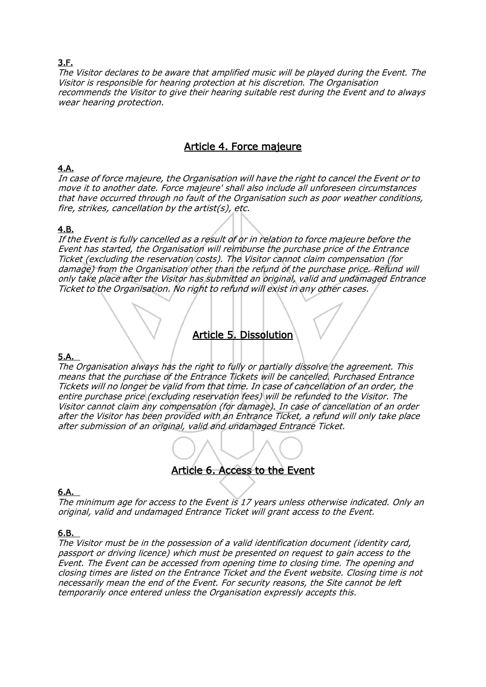## 3.F.

The Visitor declares to be aware that amplified music will be played during the Event. The Visitor is responsible for hearing protection at his discretion. The Organisation recommends the Visitor to give their hearing suitable rest during the Event and to always wear hearing protection.

# Article 4. Force majeure

## 4.A.

In case of force majeure, the Organisation will have the right to cancel the Event or to move it to another date. Force majeure' shall also include all unforeseen circumstances that have occurred through no fault of the Organisation such as poor weather conditions, fire, strikes, cancellation by the artist(s), etc.

### 4.B.

If the Event is fully cancelled as a result of or in relation to force majeure before the Event has started, the Organisation will reimburse the purchase price of the Entrance Ticket (excluding the reservation costs). The Visitor cannot claim compensation (for damage) from the Organisation other than the refund of the purchase price. Refund will only take place after the Visitor has submitted an original, valid and undamaged Entrance Ticket to the Organisation. No right to refund will exist in any other cases.

# Article 5. Dissolution

### 5.A.

The Organisation always has the right to fully or partially dissolve the agreement. This means that the purchase of the Entrance Tickets will be cancelled. Purchased Entrance Tickets will no longer be valid from that time. In case of cancellation of an order, the entire purchase price (excluding reservation fees) will be refunded to the Visitor. The Visitor cannot claim any compensation (for damage). In case of cancellation of an order after the Visitor has been provided with an Entrance Ticket, a refund will only take place after submission of an original, valid and undamaged Entrance Ticket.

# Article 6. Access to the Event

### 6.A.

The minimum age for access to the Event is 17 years unless otherwise indicated. Only an original, valid and undamaged Entrance Ticket will grant access to the Event.

#### 6.B.

The Visitor must be in the possession of a valid identification document (identity card, passport or driving licence) which must be presented on request to gain access to the Event. The Event can be accessed from opening time to closing time. The opening and closing times are listed on the Entrance Ticket and the Event website. Closing time is not necessarily mean the end of the Event. For security reasons, the Site cannot be left temporarily once entered unless the Organisation expressly accepts this.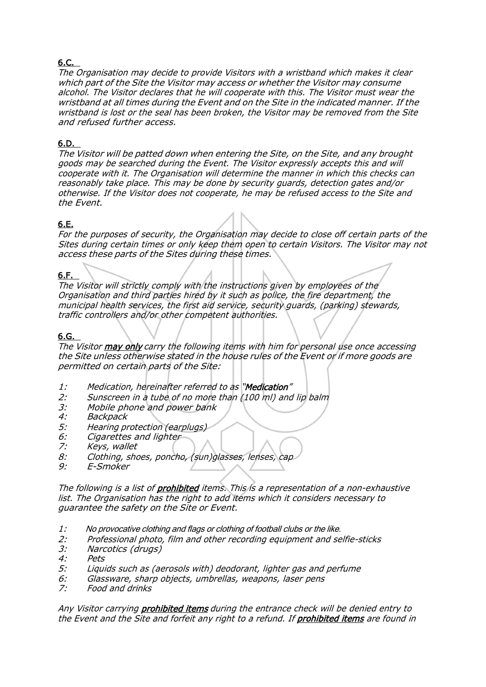# 6.C.

The Organisation may decide to provide Visitors with a wristband which makes it clear which part of the Site the Visitor may access or whether the Visitor may consume alcohol. The Visitor declares that he will cooperate with this. The Visitor must wear the wristband at all times during the Event and on the Site in the indicated manner. If the wristband is lost or the seal has been broken, the Visitor may be removed from the Site and refused further access.

## 6.D.

The Visitor will be patted down when entering the Site, on the Site, and any brought goods may be searched during the Event. The Visitor expressly accepts this and will cooperate with it. The Organisation will determine the manner in which this checks can reasonably take place. This may be done by security guards, detection gates and/or otherwise. If the Visitor does not cooperate, he may be refused access to the Site and the Event.

# 6.E.

For the purposes of security, the Organisation may decide to close off certain parts of the Sites during certain times or only keep them open to certain Visitors. The Visitor may not access these parts of the Sites during these times.

### 6.F.

The Visitor will strictly comply with the instructions given by employees of the Organisation and third parties hired by it such as police, the fire department, the municipal health services, the first aid service, security guards, (parking) stewards, traffic controllers and/or other competent authorities.

### 6.G.

The Visitor **may only** carry the following items with him for personal use once accessing the Site unless otherwise stated in the house rules of the Event or if more goods are permitted on certain parts of the Site:

- 1: Medication, hereinafter referred to as "Medication"
- 2: Sunscreen in a tube of no more than (100 ml) and lip balm<br>3: Mobile phone and power bank
- 3: Mobile phone and power bank<br>4: Backpack
- **Backpack**
- 5: Hearing protection (earplugs)
- 6: Cigarettes and lighter<br>7: Kevs, wallet
- Keys, wallet
- 8: Clothing, shoes, poncho, (sun)glasses, lenses, cap
- 9: E-Smoker

The following is a list of **prohibited** items. This is a representation of a non-exhaustive list. The Organisation has the right to add items which it considers necessary to guarantee the safety on the Site or Event.

- 1: No provocative clothing and flags or clothing of football clubs or the like.
- 2: Professional photo, film and other recording equipment and selfie-sticks<br>3: Narcotics (drugs)
- 3: Narcotics (drugs)<br>4: Pets
- Pets
- 5: Liquids such as (aerosols with) deodorant, lighter gas and perfume
- 6: Glassware, sharp objects, umbrellas, weapons, laser pens<br>7: Food and drinks
- Food and drinks

Any Visitor carrying **prohibited items** during the entrance check will be denied entry to the Event and the Site and forfeit any right to a refund. If **prohibited items** are found in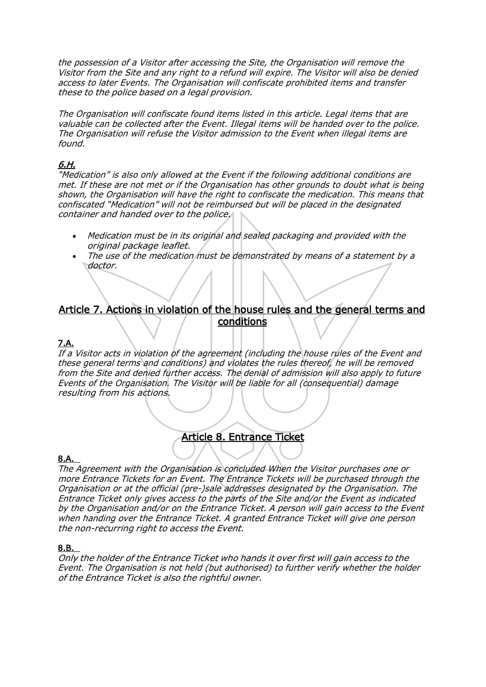the possession of a Visitor after accessing the Site, the Organisation will remove the Visitor from the Site and any right to a refund will expire. The Visitor will also be denied access to later Events. The Organisation will confiscate prohibited items and transfer these to the police based on a legal provision.

The Organisation will confiscate found items listed in this article. Legal items that are valuable can be collected after the Event. Illegal items will be handed over to the police. The Organisation will refuse the Visitor admission to the Event when illegal items are found.

# 6.H.

"Medication" is also only allowed at the Event if the following additional conditions are met. If these are not met or if the Organisation has other grounds to doubt what is being shown, the Organisation will have the right to confiscate the medication. This means that confiscated "Medication" will not be reimbursed but will be placed in the designated container and handed over to the police.

- Medication must be in its original and sealed packaging and provided with the original package leaflet.
- The use of the medication must be demonstrated by means of a statement by a doctor.

# Article 7. Actions in violation of the house rules and the general terms and conditions

### 7.A.

If a Visitor acts in violation of the agreement (including the house rules of the Event and these general terms and conditions) and violates the rules thereof, he will be removed from the Site and denied further access. The denial of admission will also apply to future Events of the Organisation. The Visitor will be liable for all (consequential) damage resulting from his actions.

# Article 8. Entrance Ticket

#### 8.A.

The Agreement with the Organisation is concluded When the Visitor purchases one or more Entrance Tickets for an Event. The Entrance Tickets will be purchased through the Organisation or at the official (pre-)sale addresses designated by the Organisation. The Entrance Ticket only gives access to the parts of the Site and/or the Event as indicated by the Organisation and/or on the Entrance Ticket. A person will gain access to the Event when handing over the Entrance Ticket. A granted Entrance Ticket will give one person the non-recurring right to access the Event.

#### 8.B.

Only the holder of the Entrance Ticket who hands it over first will gain access to the Event. The Organisation is not held (but authorised) to further verify whether the holder of the Entrance Ticket is also the rightful owner.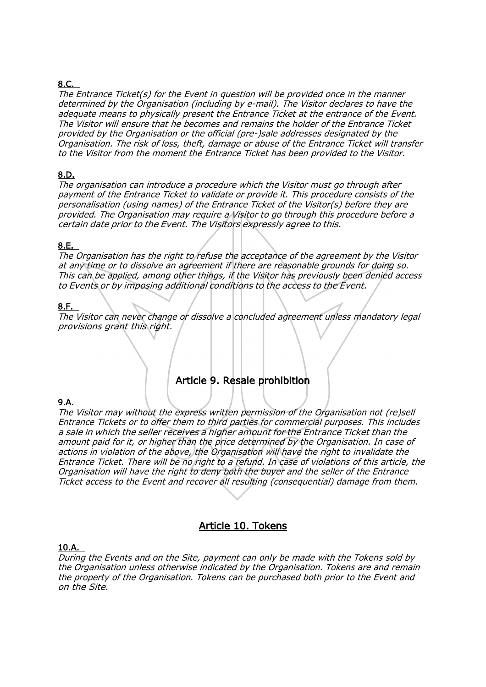# 8.C.

The Entrance Ticket(s) for the Event in question will be provided once in the manner determined by the Organisation (including by e-mail). The Visitor declares to have the adequate means to physically present the Entrance Ticket at the entrance of the Event. The Visitor will ensure that he becomes and remains the holder of the Entrance Ticket provided by the Organisation or the official (pre-)sale addresses designated by the Organisation. The risk of loss, theft, damage or abuse of the Entrance Ticket will transfer to the Visitor from the moment the Entrance Ticket has been provided to the Visitor.

### 8.D.

The organisation can introduce a procedure which the Visitor must go through after payment of the Entrance Ticket to validate or provide it. This procedure consists of the personalisation (using names) of the Entrance Ticket of the Visitor(s) before they are provided. The Organisation may require a Visitor to go through this procedure before <sup>a</sup> certain date prior to the Event. The Visitors expressly agree to this.

### 8.E.

The Organisation has the right to refuse the acceptance of the agreement by the Visitor at any time or to dissolve an agreement if there are reasonable grounds for doing so. This can be applied, among other things, if the Visitor has previously been denied access to Events or by imposing additional conditions to the access to the Event.

### 8.F.

The Visitor can never change or dissolve a concluded agreement unless mandatory legal provisions grant this right.

# Article 9. Resale prohibition

#### 9.A.

The Visitor may without the express written permission of the Organisation not (re)sell Entrance Tickets or to offer them to third parties for commercial purposes. This includes a sale in which the seller receives a higher amount for the Entrance Ticket than the amount paid for it, or higher than the price determined by the Organisation. In case of actions in violation of the above, the Organisation will have the right to invalidate the Entrance Ticket. There will be no right to a refund. In case of violations of this article, the Organisation will have the right to deny both the buyer and the seller of the Entrance Ticket access to the Event and recover all resulting (consequential) damage from them.

# Article 10. Tokens

#### 10.A.

During the Events and on the Site, payment can only be made with the Tokens sold by the Organisation unless otherwise indicated by the Organisation. Tokens are and remain the property of the Organisation. Tokens can be purchased both prior to the Event and on the Site.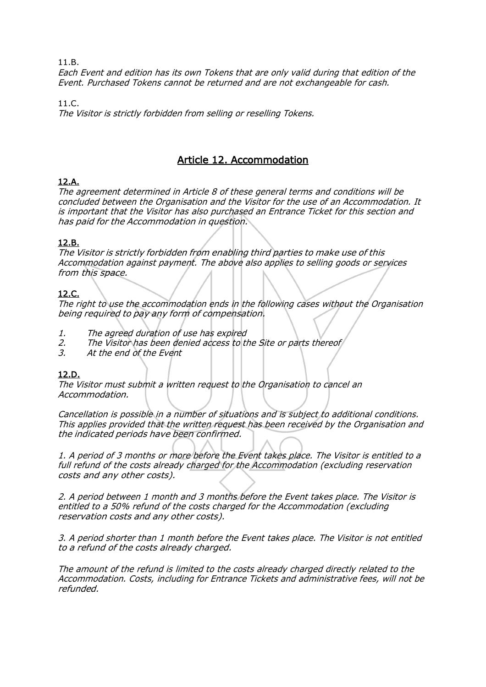Each Event and edition has its own Tokens that are only valid during that edition of the Event. Purchased Tokens cannot be returned and are not exchangeable for cash.

11.C. The Visitor is strictly forbidden from selling or reselling Tokens.

# Article 12. Accommodation

# 12.A.

The agreement determined in Article 8 of these general terms and conditions will be concluded between the Organisation and the Visitor for the use of an Accommodation. It is important that the Visitor has also purchased an Entrance Ticket for this section and has paid for the Accommodation in question.

### 12.B.

The Visitor is strictly forbidden from enabling third parties to make use of this Accommodation against payment. The above also applies to selling goods or services from this space.

### 12.C.

The right to use the accommodation ends in the following cases without the Organisation being required to pay any form of compensation.

- 1. The agreed duration of use has expired<br>2. The Visitor has been denied access to th
- The Visitor has been denied access to the Site or parts thereof
- 3. At the end of the Event

### 12.D.

The Visitor must submit a written request to the Organisation to cancel an Accommodation.

Cancellation is possible in a number of situations and is subject to additional conditions. This applies provided that the written request has been received by the Organisation and the indicated periods have been confirmed.

1. A period of 3 months or more before the Event takes place. The Visitor is entitled to <sup>a</sup> full refund of the costs already charged for the Accommodation (excluding reservation costs and any other costs).

2. A period between 1 month and 3 months before the Event takes place. The Visitor is entitled to a 50% refund of the costs charged for the Accommodation (excluding reservation costs and any other costs).

3. A period shorter than 1 month before the Event takes place. The Visitor is not entitled to a refund of the costs already charged.

The amount of the refund is limited to the costs already charged directly related to the Accommodation. Costs, including for Entrance Tickets and administrative fees, will not be refunded.

#### 11.B.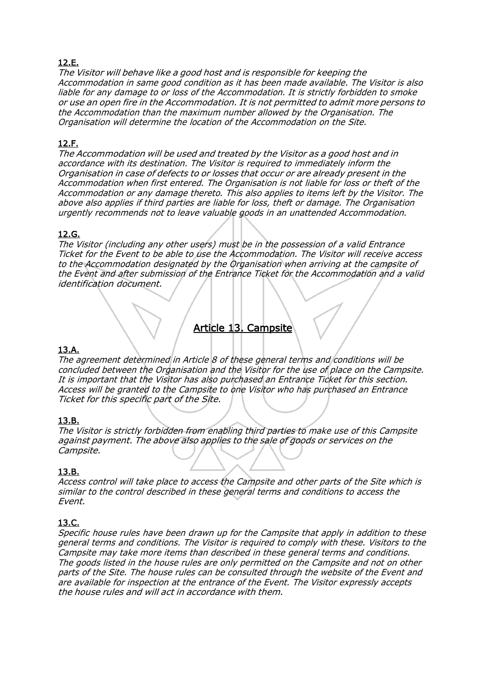# 12.E.

The Visitor will behave like a good host and is responsible for keeping the Accommodation in same good condition as it has been made available. The Visitor is also liable for any damage to or loss of the Accommodation. It is strictly forbidden to smoke or use an open fire in the Accommodation. It is not permitted to admit more persons to the Accommodation than the maximum number allowed by the Organisation. The Organisation will determine the location of the Accommodation on the Site.

### 12.F.

The Accommodation will be used and treated by the Visitor as a good host and in accordance with its destination. The Visitor is required to immediately inform the Organisation in case of defects to or losses that occur or are already present in the Accommodation when first entered. The Organisation is not liable for loss or theft of the Accommodation or any damage thereto. This also applies to items left by the Visitor. The above also applies if third parties are liable for loss, theft or damage. The Organisation urgently recommends not to leave valuable goods in an unattended Accommodation.

### 12.G.

The Visitor (including any other users) must be in the possession of a valid Entrance Ticket for the Event to be able to use the Accommodation. The Visitor will receive access to the Accommodation designated by the Organisation when arriving at the campsite of the Event and after submission of the Entrance Ticket for the Accommodation and a valid identification document.

# Article 13. Campsite

### 13.A.

The agreement determined in Article 8 of these general terms and conditions will be concluded between the Organisation and the Visitor for the use of place on the Campsite. It is important that the Visitor has also purchased an Entrance Ticket for this section. Access will be granted to the Campsite to one Visitor who has purchased an Entrance Ticket for this specific part of the Site.

### 13.B.

The Visitor is strictly forbidden from enabling third parties to make use of this Campsite against payment. The above also applies to the sale of goods or services on the Campsite.

#### 13.B.

Access control will take place to access the Campsite and other parts of the Site which is similar to the control described in these general terms and conditions to access the Event.

### 13.C.

Specific house rules have been drawn up for the Campsite that apply in addition to these general terms and conditions. The Visitor is required to comply with these. Visitors to the Campsite may take more items than described in these general terms and conditions. The goods listed in the house rules are only permitted on the Campsite and not on other parts of the Site. The house rules can be consulted through the website of the Event and are available for inspection at the entrance of the Event. The Visitor expressly accepts the house rules and will act in accordance with them.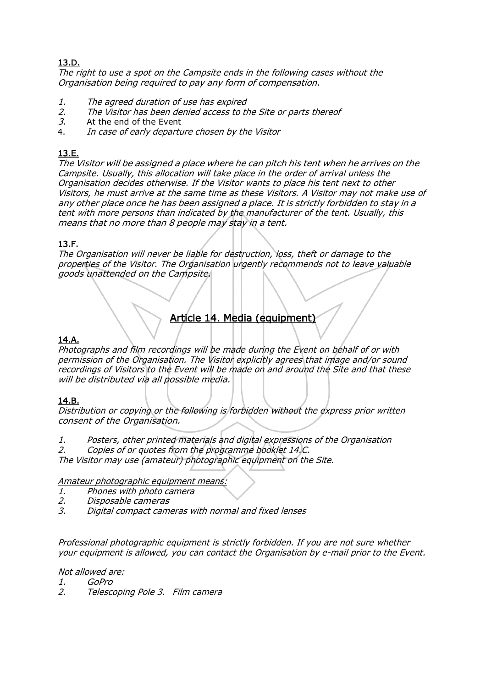# 13.D.

The right to use a spot on the Campsite ends in the following cases without the Organisation being required to pay any form of compensation.

- 1. The agreed duration of use has expired
- 2. The Visitor has been denied access to the Site or parts thereof 3. At the end of the Event
- 3. At the end of the Event  $\frac{3}{4}$  In case of early denarty
- In case of early departure chosen by the Visitor

## 13.E.

The Visitor will be assigned a place where he can pitch his tent when he arrives on the Campsite. Usually, this allocation will take place in the order of arrival unless the Organisation decides otherwise. If the Visitor wants to place his tent next to other Visitors, he must arrive at the same time as these Visitors. A Visitor may not make use of any other place once he has been assigned a place. It is strictly forbidden to stay in <sup>a</sup> tent with more persons than indicated by the manufacturer of the tent. Usually, this means that no more than 8 people may stay in a tent.

### 13.F.

The Organisation will never be liable for destruction, loss, theft or damage to the properties of the Visitor. The Organisation urgently recommends not to leave valuable goods unattended on the Campsite.

# Article 14. Media (equipment)

## 14.A.

Photographs and film recordings will be made during the Event on behalf of or with permission of the Organisation. The Visitor explicitly agrees that image and/or sound recordings of Visitors to the Event will be made on and around the Site and that these will be distributed via all possible media.

### 14.B.

Distribution or copying or the following is forbidden without the express prior written consent of the Organisation.

- 1. Posters, other printed materials and digital expressions of the Organisation
- 2. Copies of or quotes from the programme booklet 14.C.

The Visitor may use (amateur) photographic equipment on the Site.

#### Amateur photographic equipment means:

- 1. Phones with photo camera
- 2. Disposable cameras
- 3. Digital compact cameras with normal and fixed lenses

Professional photographic equipment is strictly forbidden. If you are not sure whether your equipment is allowed, you can contact the Organisation by e-mail prior to the Event.

Not allowed are:

1. GoPro

2. Telescoping Pole 3. Film camera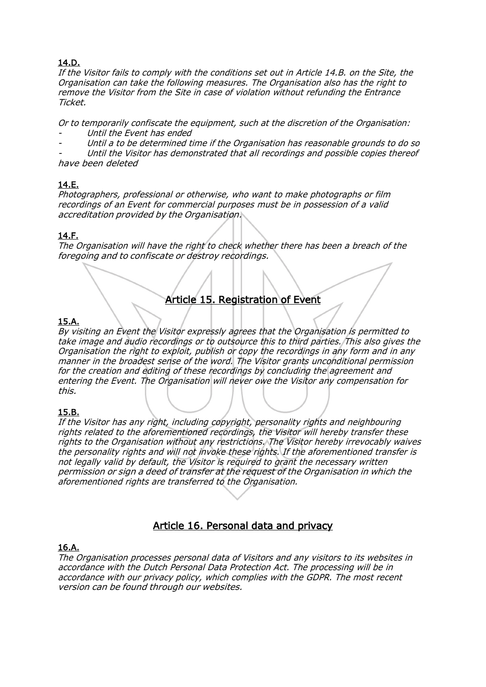# 14.D.

If the Visitor fails to comply with the conditions set out in Article 14.B. on the Site, the Organisation can take the following measures. The Organisation also has the right to remove the Visitor from the Site in case of violation without refunding the Entrance Ticket.

Or to temporarily confiscate the equipment, such at the discretion of the Organisation:

- Until the Event has ended
- Until a to be determined time if the Organisation has reasonable grounds to do so

 Until the Visitor has demonstrated that all recordings and possible copies thereof have been deleted

# 14.E.

Photographers, professional or otherwise, who want to make photographs or film recordings of an Event for commercial purposes must be in possession of a valid accreditation provided by the Organisation.

# 14.F.

The Organisation will have the right to check whether there has been a breach of the foregoing and to confiscate or destroy recordings.

# Article 15. Registration of Event

# 15.A.

By visiting an Event the Visitor expressly agrees that the Organisation is permitted to take image and audio recordings or to outsource this to third parties. This also gives the Organisation the right to exploit, publish or copy the recordings in any form and in any manner in the broadest sense of the word. The Visitor grants unconditional permission for the creation and editing of these recordings by concluding the agreement and entering the Event. The Organisation will never owe the Visitor any compensation for this.

### 15.B.

If the Visitor has any right, including copyright, personality rights and neighbouring rights related to the aforementioned recordings, the Visitor will hereby transfer these rights to the Organisation without any restrictions. The Visitor hereby irrevocably waives the personality rights and will not invoke these rights. If the aforementioned transfer is not legally valid by default, the Visitor is required to grant the necessary written permission or sign a deed of transfer at the request of the Organisation in which the aforementioned rights are transferred to the Organisation.

# Article 16. Personal data and privacy

### 16.A.

The Organisation processes personal data of Visitors and any visitors to its websites in accordance with the Dutch Personal Data Protection Act. The processing will be in accordance with our privacy policy, which complies with the GDPR. The most recent version can be found through our websites.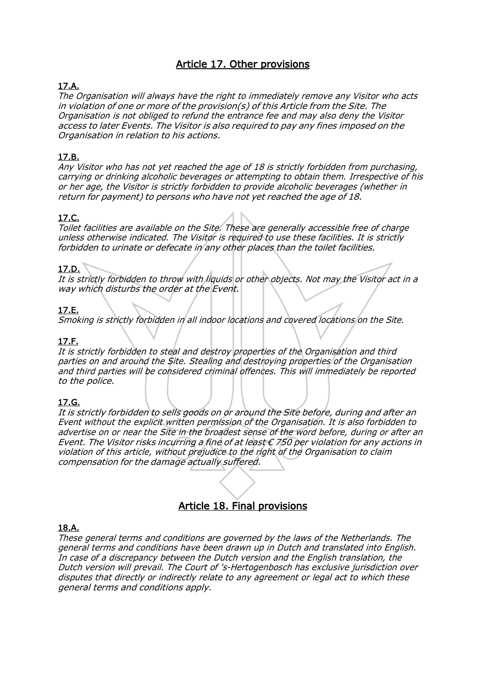# Article 17. Other provisions

## 17.A.

The Organisation will always have the right to immediately remove any Visitor who acts in violation of one or more of the provision(s) of this Article from the Site. The Organisation is not obliged to refund the entrance fee and may also deny the Visitor access to later Events. The Visitor is also required to pay any fines imposed on the Organisation in relation to his actions.

### 17.B.

Any Visitor who has not yet reached the age of 18 is strictly forbidden from purchasing, carrying or drinking alcoholic beverages or attempting to obtain them. Irrespective of his or her age, the Visitor is strictly forbidden to provide alcoholic beverages (whether in return for payment) to persons who have not yet reached the age of 18.

#### 17.C.

Toilet facilities are available on the Site. These are generally accessible free of charge unless otherwise indicated. The Visitor is required to use these facilities. It is strictly forbidden to urinate or defecate in any other places than the toilet facilities.

#### 17.D.

It is strictly forbidden to throw with liquids or other objects. Not may the Visitor act in <sup>a</sup> way which disturbs the order at the Event.

### 17.E.

Smoking is strictly forbidden in all indoor locations and covered locations on the Site.

#### 17.F.

It is strictly forbidden to steal and destroy properties of the Organisation and third parties on and around the Site. Stealing and destroying properties of the Organisation and third parties will be considered criminal offences. This will immediately be reported to the police.

#### 17.G.

It is strictly forbidden to sells goods on or around the Site before, during and after an Event without the explicit written permission of the Organisation. It is also forbidden to advertise on or near the Site in the broadest sense of the word before, during or after an Event. The Visitor risks incurring a fine of at least  $\epsilon$  750 per violation for any actions in violation of this article, without prejudice to the right of the Organisation to claim compensation for the damage actually suffered.

# Article 18. Final provisions

#### 18.A.

These general terms and conditions are governed by the laws of the Netherlands. The general terms and conditions have been drawn up in Dutch and translated into English. In case of a discrepancy between the Dutch version and the English translation, the Dutch version will prevail. The Court of 's-Hertogenbosch has exclusive jurisdiction over disputes that directly or indirectly relate to any agreement or legal act to which these general terms and conditions apply.